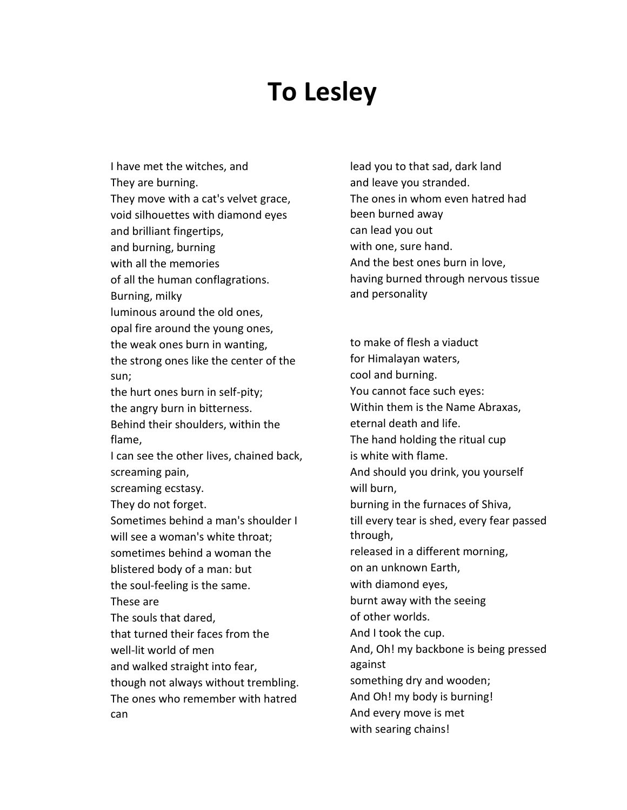## **To Lesley**

I have met the witches, and They are burning. They move with a cat's velvet grace, void silhouettes with diamond eyes and brilliant fingertips, and burning, burning with all the memories of all the human conflagrations. Burning, milky luminous around the old ones, opal fire around the young ones, the weak ones burn in wanting, the strong ones like the center of the sun; the hurt ones burn in self-pity; the angry burn in bitterness. Behind their shoulders, within the flame, I can see the other lives, chained back, screaming pain, screaming ecstasy. They do not forget. Sometimes behind a man's shoulder I will see a woman's white throat; sometimes behind a woman the blistered body of a man: but the soul-feeling is the same. These are The souls that dared, that turned their faces from the well-lit world of men and walked straight into fear, though not always without trembling. The ones who remember with hatred can

lead you to that sad, dark land and leave you stranded. The ones in whom even hatred had been burned away can lead you out with one, sure hand. And the best ones burn in love, having burned through nervous tissue and personality

to make of flesh a viaduct for Himalayan waters, cool and burning. You cannot face such eyes: Within them is the Name Abraxas, eternal death and life. The hand holding the ritual cup is white with flame. And should you drink, you yourself will burn, burning in the furnaces of Shiva, till every tear is shed, every fear passed through, released in a different morning, on an unknown Earth, with diamond eyes, burnt away with the seeing of other worlds. And I took the cup. And, Oh! my backbone is being pressed against something dry and wooden; And Oh! my body is burning! And every move is met with searing chains!